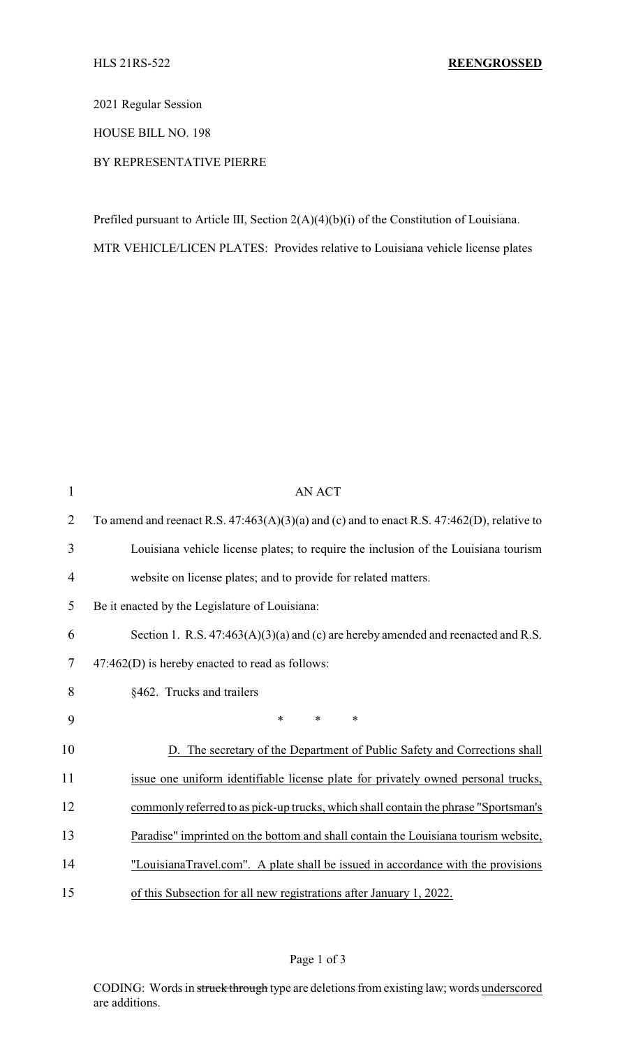2021 Regular Session

HOUSE BILL NO. 198

BY REPRESENTATIVE PIERRE

Prefiled pursuant to Article III, Section 2(A)(4)(b)(i) of the Constitution of Louisiana.

MTR VEHICLE/LICEN PLATES: Provides relative to Louisiana vehicle license plates

| $\mathbf{1}$   | <b>AN ACT</b>                                                                                   |
|----------------|-------------------------------------------------------------------------------------------------|
| $\overline{2}$ | To amend and reenact R.S. $47:463(A)(3)(a)$ and (c) and to enact R.S. $47:462(D)$ , relative to |
| 3              | Louisiana vehicle license plates; to require the inclusion of the Louisiana tourism             |
| 4              | website on license plates; and to provide for related matters.                                  |
| 5              | Be it enacted by the Legislature of Louisiana:                                                  |
| 6              | Section 1. R.S. 47:463(A)(3)(a) and (c) are hereby amended and reenacted and R.S.               |
| $\tau$         | $47:462(D)$ is hereby enacted to read as follows:                                               |
| 8              | §462. Trucks and trailers                                                                       |
| 9              | *<br>*<br>∗                                                                                     |
| 10             | D. The secretary of the Department of Public Safety and Corrections shall                       |
| 11             | issue one uniform identifiable license plate for privately owned personal trucks,               |
| 12             | commonly referred to as pick-up trucks, which shall contain the phrase "Sportsman's             |
| 13             | Paradise" imprinted on the bottom and shall contain the Louisiana tourism website,              |
| 14             | "LouisianaTravel.com". A plate shall be issued in accordance with the provisions                |
| 15             | of this Subsection for all new registrations after January 1, 2022.                             |

CODING: Words in struck through type are deletions from existing law; words underscored are additions.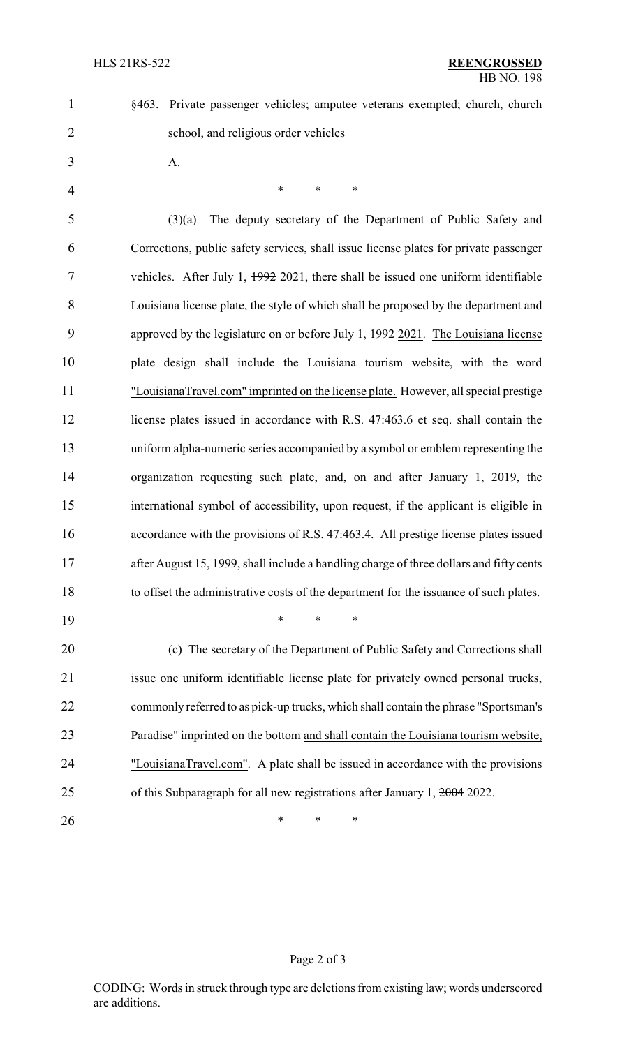§463. Private passenger vehicles; amputee veterans exempted; church, church

school, and religious order vehicles

A.

4 \* \* \* \* (3)(a) The deputy secretary of the Department of Public Safety and Corrections, public safety services, shall issue license plates for private passenger vehicles. After July 1, 1992 2021, there shall be issued one uniform identifiable Louisiana license plate, the style of which shall be proposed by the department and approved by the legislature on or before July 1, 1992 2021. The Louisiana license plate design shall include the Louisiana tourism website, with the word "LouisianaTravel.com" imprinted on the license plate. However, all special prestige 12 license plates issued in accordance with R.S. 47:463.6 et seq. shall contain the uniform alpha-numeric series accompanied by a symbol or emblem representing the organization requesting such plate, and, on and after January 1, 2019, the international symbol of accessibility, upon request, if the applicant is eligible in accordance with the provisions of R.S. 47:463.4. All prestige license plates issued 17 after August 15, 1999, shall include a handling charge of three dollars and fifty cents to offset the administrative costs of the department for the issuance of such plates. \* \* \*

 (c) The secretary of the Department of Public Safety and Corrections shall issue one uniform identifiable license plate for privately owned personal trucks, commonly referred to as pick-up trucks, which shall contain the phrase "Sportsman's Paradise" imprinted on the bottom and shall contain the Louisiana tourism website, "LouisianaTravel.com". A plate shall be issued in accordance with the provisions of this Subparagraph for all new registrations after January 1, 2004 2022.

**\*** \* \* \*

## Page 2 of 3